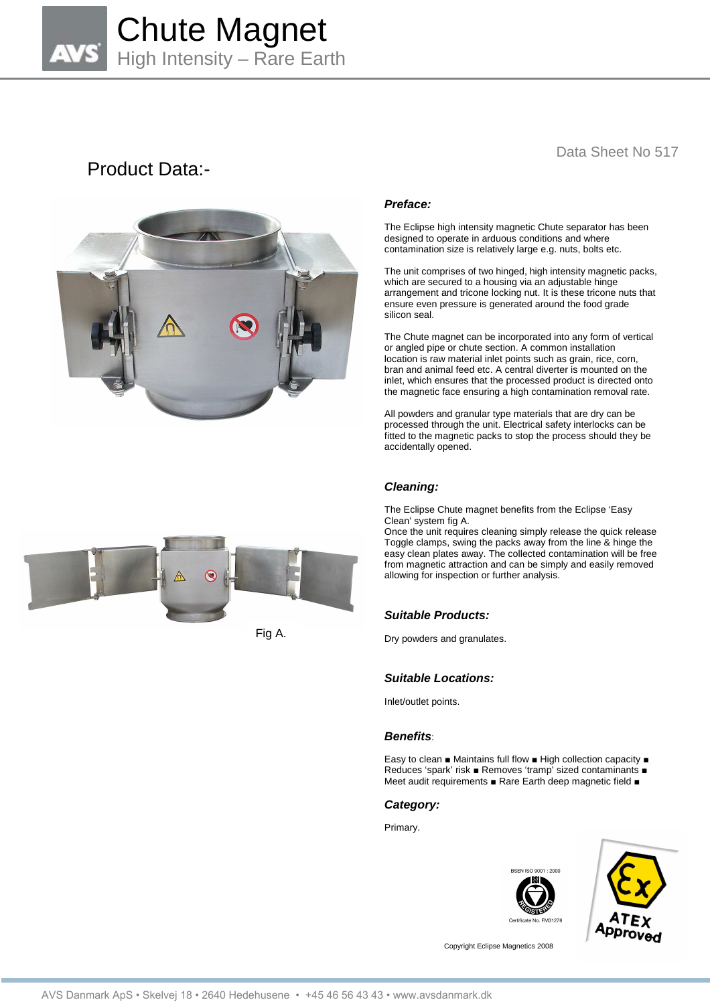

# Product Data:-



## Data Sheet No 517

## **Preface:**

The Eclipse high intensity magnetic Chute separator has been designed to operate in arduous conditions and where contamination size is relatively large e.g. nuts, bolts etc.

The unit comprises of two hinged, high intensity magnetic packs, which are secured to a housing via an adjustable hinge arrangement and tricone locking nut. It is these tricone nuts that ensure even pressure is generated around the food grade silicon seal.

The Chute magnet can be incorporated into any form of vertical or angled pipe or chute section. A common installation location is raw material inlet points such as grain, rice, corn, bran and animal feed etc. A central diverter is mounted on the inlet, which ensures that the processed product is directed onto the magnetic face ensuring a high contamination removal rate.

All powders and granular type materials that are dry can be processed through the unit. Electrical safety interlocks can be fitted to the magnetic packs to stop the process should they be accidentally opened.

## **Cleaning:**

The Eclipse Chute magnet benefits from the Eclipse 'Easy Clean' system fig A.

Once the unit requires cleaning simply release the quick release Toggle clamps, swing the packs away from the line & hinge the easy clean plates away. The collected contamination will be free from magnetic attraction and can be simply and easily removed allowing for inspection or further analysis.

## **Suitable Products:**

Dry powders and granulates.

#### **Suitable Locations:**

Inlet/outlet points.

#### **Benefits**:

Easy to clean ■ Maintains full flow ■ High collection capacity ■ Reduces 'spark' risk ■ Removes 'tramp' sized contaminants ■ Meet audit requirements ■ Rare Earth deep magnetic field ■

#### **Category:**

Primary.





Copyright Eclipse Magnetics 2008



Fig A.